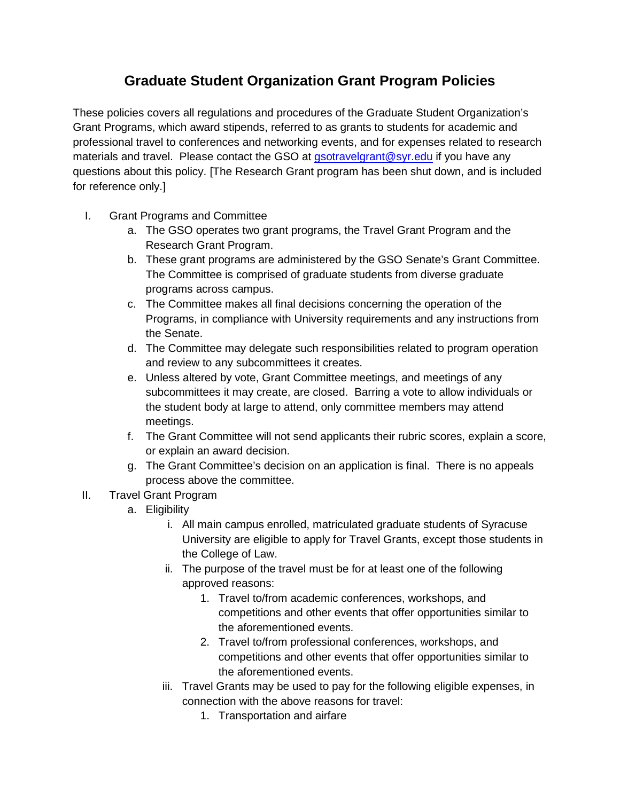## **Graduate Student Organization Grant Program Policies**

These policies covers all regulations and procedures of the Graduate Student Organization's Grant Programs, which award stipends, referred to as grants to students for academic and professional travel to conferences and networking events, and for expenses related to research materials and travel. Please contact the GSO at *asotravelgrant@syr.edu* if you have any questions about this policy. [The Research Grant program has been shut down, and is included for reference only.]

- I. Grant Programs and Committee
	- a. The GSO operates two grant programs, the Travel Grant Program and the Research Grant Program.
	- b. These grant programs are administered by the GSO Senate's Grant Committee. The Committee is comprised of graduate students from diverse graduate programs across campus.
	- c. The Committee makes all final decisions concerning the operation of the Programs, in compliance with University requirements and any instructions from the Senate.
	- d. The Committee may delegate such responsibilities related to program operation and review to any subcommittees it creates.
	- e. Unless altered by vote, Grant Committee meetings, and meetings of any subcommittees it may create, are closed. Barring a vote to allow individuals or the student body at large to attend, only committee members may attend meetings.
	- f. The Grant Committee will not send applicants their rubric scores, explain a score, or explain an award decision.
	- g. The Grant Committee's decision on an application is final. There is no appeals process above the committee.
- II. Travel Grant Program
	- a. Eligibility
		- i. All main campus enrolled, matriculated graduate students of Syracuse University are eligible to apply for Travel Grants, except those students in the College of Law.
		- ii. The purpose of the travel must be for at least one of the following approved reasons:
			- 1. Travel to/from academic conferences, workshops, and competitions and other events that offer opportunities similar to the aforementioned events.
			- 2. Travel to/from professional conferences, workshops, and competitions and other events that offer opportunities similar to the aforementioned events.
		- iii. Travel Grants may be used to pay for the following eligible expenses, in connection with the above reasons for travel:
			- 1. Transportation and airfare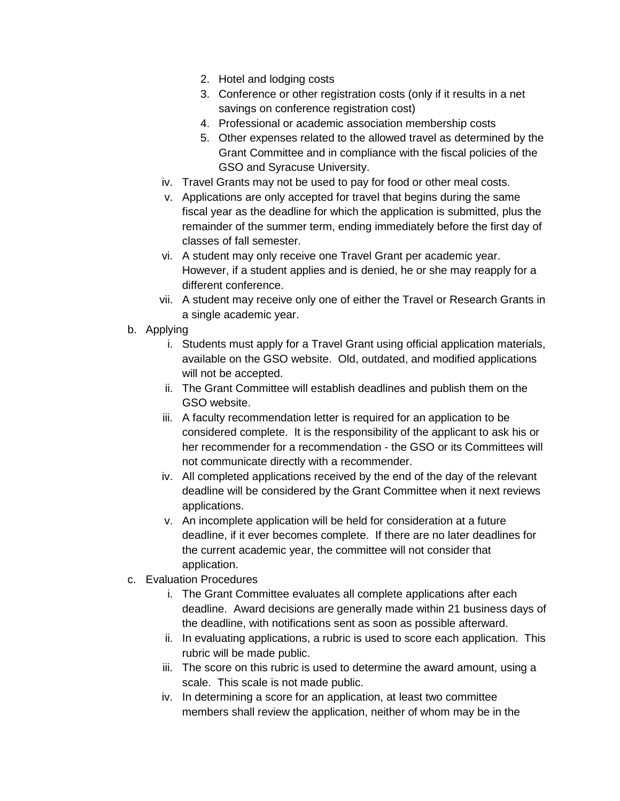- 2. Hotel and lodging costs
- 3. Conference or other registration costs (only if it results in a net savings on conference registration cost)
- 4. Professional or academic association membership costs
- 5. Other expenses related to the allowed travel as determined by the Grant Committee and in compliance with the fiscal policies of the GSO and Syracuse University.
- iv. Travel Grants may not be used to pay for food or other meal costs.
- v. Applications are only accepted for travel that begins during the same fiscal year as the deadline for which the application is submitted, plus the remainder of the summer term, ending immediately before the first day of classes of fall semester.
- vi. A student may only receive one Travel Grant per academic year. However, if a student applies and is denied, he or she may reapply for a different conference.
- vii. A student may receive only one of either the Travel or Research Grants in a single academic year.
- b. Applying
	- i. Students must apply for a Travel Grant using official application materials, available on the GSO website. Old, outdated, and modified applications will not be accepted.
	- ii. The Grant Committee will establish deadlines and publish them on the GSO website.
	- iii. A faculty recommendation letter is required for an application to be considered complete. It is the responsibility of the applicant to ask his or her recommender for a recommendation - the GSO or its Committees will not communicate directly with a recommender.
	- iv. All completed applications received by the end of the day of the relevant deadline will be considered by the Grant Committee when it next reviews applications.
	- v. An incomplete application will be held for consideration at a future deadline, if it ever becomes complete. If there are no later deadlines for the current academic year, the committee will not consider that application.
- c. Evaluation Procedures
	- i. The Grant Committee evaluates all complete applications after each deadline. Award decisions are generally made within 21 business days of the deadline, with notifications sent as soon as possible afterward.
	- ii. In evaluating applications, a rubric is used to score each application. This rubric will be made public.
	- iii. The score on this rubric is used to determine the award amount, using a scale. This scale is not made public.
	- iv. In determining a score for an application, at least two committee members shall review the application, neither of whom may be in the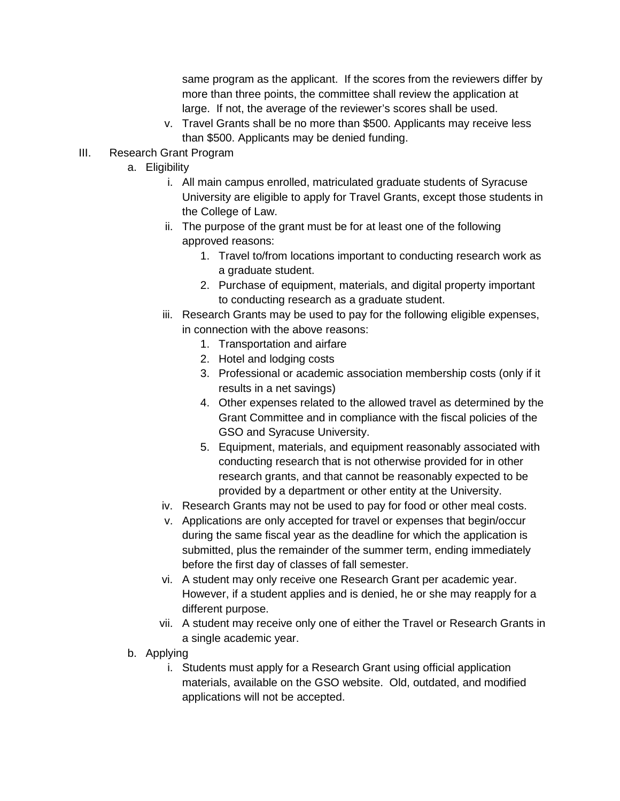same program as the applicant. If the scores from the reviewers differ by more than three points, the committee shall review the application at large. If not, the average of the reviewer's scores shall be used.

- v. Travel Grants shall be no more than \$500. Applicants may receive less than \$500. Applicants may be denied funding.
- III. Research Grant Program
	- a. Eligibility
		- i. All main campus enrolled, matriculated graduate students of Syracuse University are eligible to apply for Travel Grants, except those students in the College of Law.
		- ii. The purpose of the grant must be for at least one of the following approved reasons:
			- 1. Travel to/from locations important to conducting research work as a graduate student.
			- 2. Purchase of equipment, materials, and digital property important to conducting research as a graduate student.
		- iii. Research Grants may be used to pay for the following eligible expenses, in connection with the above reasons:
			- 1. Transportation and airfare
			- 2. Hotel and lodging costs
			- 3. Professional or academic association membership costs (only if it results in a net savings)
			- 4. Other expenses related to the allowed travel as determined by the Grant Committee and in compliance with the fiscal policies of the GSO and Syracuse University.
			- 5. Equipment, materials, and equipment reasonably associated with conducting research that is not otherwise provided for in other research grants, and that cannot be reasonably expected to be provided by a department or other entity at the University.
		- iv. Research Grants may not be used to pay for food or other meal costs.
		- v. Applications are only accepted for travel or expenses that begin/occur during the same fiscal year as the deadline for which the application is submitted, plus the remainder of the summer term, ending immediately before the first day of classes of fall semester.
		- vi. A student may only receive one Research Grant per academic year. However, if a student applies and is denied, he or she may reapply for a different purpose.
		- vii. A student may receive only one of either the Travel or Research Grants in a single academic year.
	- b. Applying
		- i. Students must apply for a Research Grant using official application materials, available on the GSO website. Old, outdated, and modified applications will not be accepted.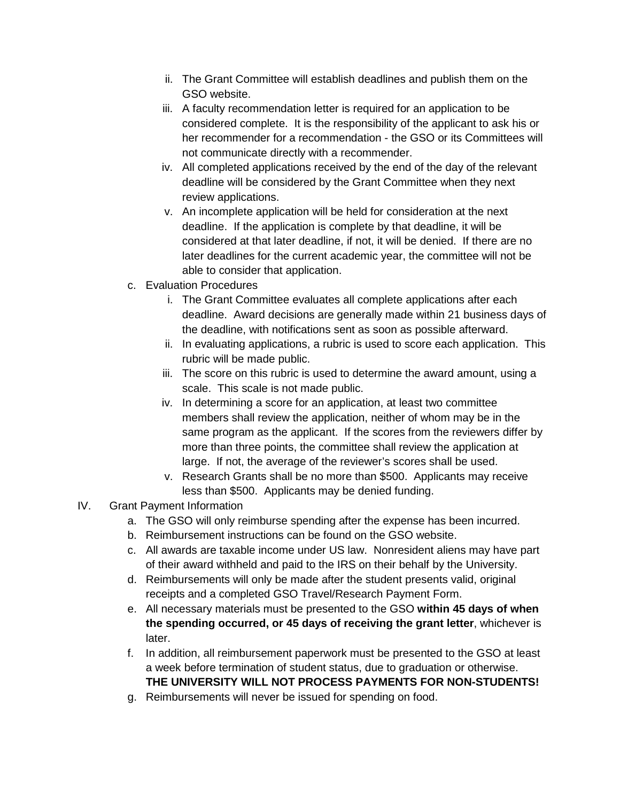- ii. The Grant Committee will establish deadlines and publish them on the GSO website.
- iii. A faculty recommendation letter is required for an application to be considered complete. It is the responsibility of the applicant to ask his or her recommender for a recommendation - the GSO or its Committees will not communicate directly with a recommender.
- iv. All completed applications received by the end of the day of the relevant deadline will be considered by the Grant Committee when they next review applications.
- v. An incomplete application will be held for consideration at the next deadline. If the application is complete by that deadline, it will be considered at that later deadline, if not, it will be denied. If there are no later deadlines for the current academic year, the committee will not be able to consider that application.
- c. Evaluation Procedures
	- i. The Grant Committee evaluates all complete applications after each deadline. Award decisions are generally made within 21 business days of the deadline, with notifications sent as soon as possible afterward.
	- ii. In evaluating applications, a rubric is used to score each application. This rubric will be made public.
	- iii. The score on this rubric is used to determine the award amount, using a scale. This scale is not made public.
	- iv. In determining a score for an application, at least two committee members shall review the application, neither of whom may be in the same program as the applicant. If the scores from the reviewers differ by more than three points, the committee shall review the application at large. If not, the average of the reviewer's scores shall be used.
	- v. Research Grants shall be no more than \$500. Applicants may receive less than \$500. Applicants may be denied funding.
- IV. Grant Payment Information
	- a. The GSO will only reimburse spending after the expense has been incurred.
	- b. Reimbursement instructions can be found on the GSO website.
	- c. All awards are taxable income under US law. Nonresident aliens may have part of their award withheld and paid to the IRS on their behalf by the University.
	- d. Reimbursements will only be made after the student presents valid, original receipts and a completed GSO Travel/Research Payment Form.
	- e. All necessary materials must be presented to the GSO **within 45 days of when the spending occurred, or 45 days of receiving the grant letter**, whichever is later.
	- f. In addition, all reimbursement paperwork must be presented to the GSO at least a week before termination of student status, due to graduation or otherwise. **THE UNIVERSITY WILL NOT PROCESS PAYMENTS FOR NON-STUDENTS!**
	- g. Reimbursements will never be issued for spending on food.